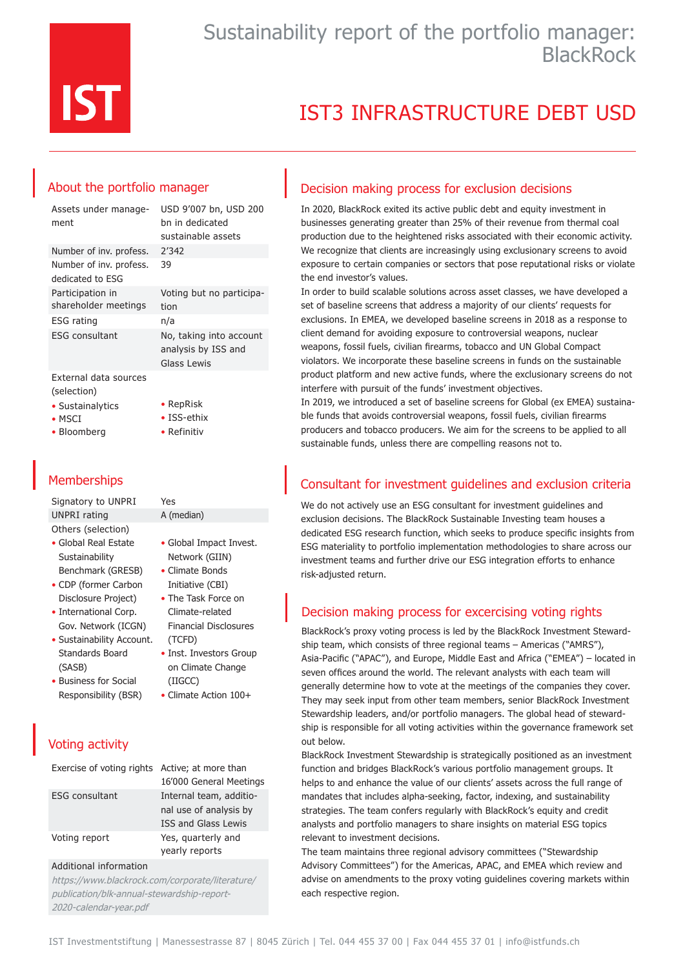

# IST3 INFRASTRUCTURE DEBT USD

### About the portfolio manager

| Assets under manage-<br>ment                             | USD 9'007 bn, USD 200<br>bn in dedicated<br>sustainable assets |
|----------------------------------------------------------|----------------------------------------------------------------|
| Number of inv. profess.                                  | 2'342                                                          |
| Number of inv. profess.<br>dedicated to ESG              | 39                                                             |
| Participation in<br>shareholder meetings                 | Voting but no participa-<br>tion                               |
| <b>ESG</b> rating                                        | n/a                                                            |
| ESG consultant                                           | No, taking into account<br>analysis by ISS and<br>Glass Lewis  |
| External data sources<br>(selection)<br>• Sustainalytics | $\bullet$ RepRisk                                              |

• ISS-ethix • Refinitiv

- MSCI
- Bloomberg
- 

### **Memberships**

Signatory to UNPRI Yes UNPRI rating A (median) Others (selection)

- Global Real Estate Sustainability Benchmark (GRESB)
- CDP (former Carbon Disclosure Project)
- International Corp. Gov. Network (ICGN)
- Sustainability Account. Standards Board (SASB)
- Business for Social Responsibility (BSR)
- Global Impact Invest. Network (GIIN) • Climate Bonds
- Initiative (CBI) • The Task Force on
- Climate-related Financial Disclosures (TCFD)
- Inst. Investors Group on Climate Change (IIGCC)
- Climate Action 100+

### Voting activity

Exercise of voting rights Active; at more than 16'000 General Meetings ESG consultant Internal team, additional use of analysis by ISS and Glass Lewis Voting report Yes, quarterly and yearly reports

#### Additional information

https://www.blackrock.com/corporate/literature/ publication/blk-annual-stewardship-report-2020-calendar-year.pdf

### Decision making process for exclusion decisions

In 2020, BlackRock exited its active public debt and equity investment in businesses generating greater than 25% of their revenue from thermal coal production due to the heightened risks associated with their economic activity. We recognize that clients are increasingly using exclusionary screens to avoid exposure to certain companies or sectors that pose reputational risks or violate the end investor's values.

In order to build scalable solutions across asset classes, we have developed a set of baseline screens that address a majority of our clients' requests for exclusions. In EMEA, we developed baseline screens in 2018 as a response to client demand for avoiding exposure to controversial weapons, nuclear weapons, fossil fuels, civilian firearms, tobacco and UN Global Compact violators. We incorporate these baseline screens in funds on the sustainable product platform and new active funds, where the exclusionary screens do not interfere with pursuit of the funds' investment objectives.

In 2019, we introduced a set of baseline screens for Global (ex EMEA) sustainable funds that avoids controversial weapons, fossil fuels, civilian firearms producers and tobacco producers. We aim for the screens to be applied to all sustainable funds, unless there are compelling reasons not to.

### Consultant for investment guidelines and exclusion criteria

We do not actively use an ESG consultant for investment guidelines and exclusion decisions. The BlackRock Sustainable Investing team houses a dedicated ESG research function, which seeks to produce specific insights from ESG materiality to portfolio implementation methodologies to share across our investment teams and further drive our ESG integration efforts to enhance risk-adjusted return.

### Decision making process for excercising voting rights

BlackRock's proxy voting process is led by the BlackRock Investment Stewardship team, which consists of three regional teams – Americas ("AMRS"), Asia-Pacific ("APAC"), and Europe, Middle East and Africa ("EMEA") – located in seven offices around the world. The relevant analysts with each team will generally determine how to vote at the meetings of the companies they cover. They may seek input from other team members, senior BlackRock Investment Stewardship leaders, and/or portfolio managers. The global head of stewardship is responsible for all voting activities within the governance framework set out below.

BlackRock Investment Stewardship is strategically positioned as an investment function and bridges BlackRock's various portfolio management groups. It helps to and enhance the value of our clients' assets across the full range of mandates that includes alpha-seeking, factor, indexing, and sustainability strategies. The team confers regularly with BlackRock's equity and credit analysts and portfolio managers to share insights on material ESG topics relevant to investment decisions.

The team maintains three regional advisory committees ("Stewardship Advisory Committees") for the Americas, APAC, and EMEA which review and advise on amendments to the proxy voting guidelines covering markets within each respective region.